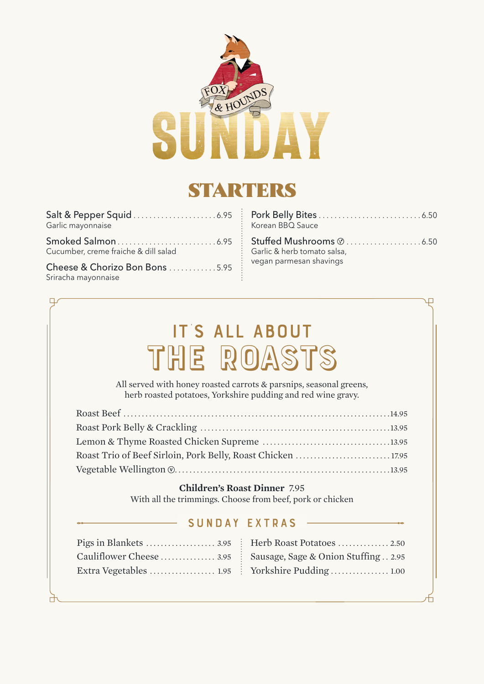

## **STARTERS**

| Garlic mayonnaise                                     |  |
|-------------------------------------------------------|--|
| Cucumber, creme fraiche & dill salad                  |  |
| Cheese & Chorizo Bon Bons 5.95<br>Sriracha mayonnaise |  |

| Korean BBQ Sauce                                                        |  |
|-------------------------------------------------------------------------|--|
| Stuffed Mushrooms $\textcircled{2}$ 6.50<br>Garlic & herb tomato salsa, |  |
| vegan parmesan shavings                                                 |  |

# the roasts it's all about

All served with honey roasted carrots & parsnips, seasonal greens, herb roasted potatoes, Yorkshire pudding and red wine gravy.

#### **Children's Roast Dinner** 7.95

With all the trimmings. Choose from beef, pork or chicken

### sunday extras